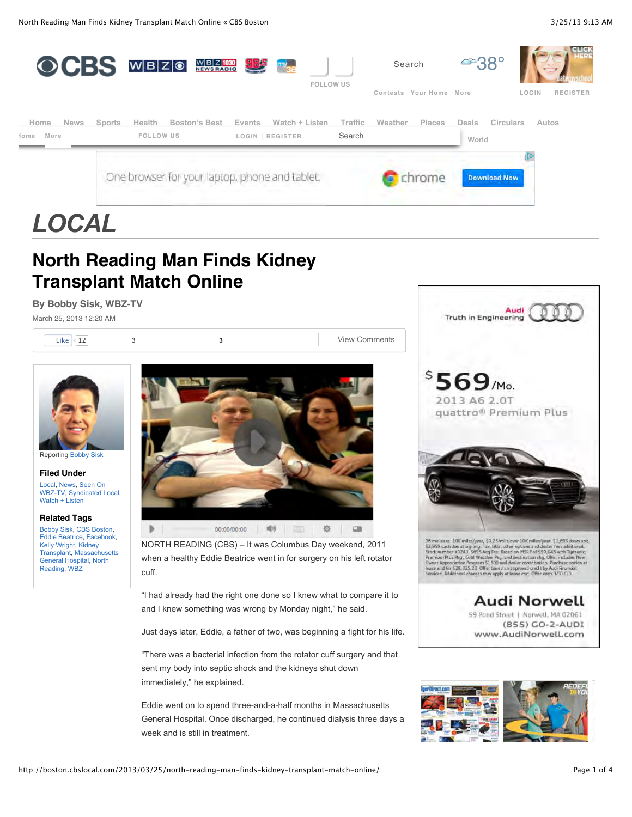

# **North Reading Man Finds Kidney Transplant Match Online**

#### **By Bobby Sisk, WBZ-TV**

March 25, 2013 12:20 AM



**Filed Under** [Local,](http://boston.cbslocal.com/category/news/local/) [News](http://boston.cbslocal.com/category/news/), Seen On [WBZ-TV, Syndicated](http://boston.cbslocal.com/category/watch-listen/seen-on-wbz-tv/) [Local,](http://boston.cbslocal.com/category/syndicated-local/) [Watch + Listen](http://boston.cbslocal.com/category/watch-listen/)

#### **Related Tags**

[Bobby Sisk,](http://boston.cbslocal.com/tag/bobby-sisk/) [CBS Boston,](http://boston.cbslocal.com/tag/cbs-boston/) [Eddie Beatrice](http://boston.cbslocal.com/tag/eddie-beatrice/), [Facebook,](http://boston.cbslocal.com/tag/facebook/) [Kelly Wright,](http://boston.cbslocal.com/tag/kelly-wright/) Kidney [Transplant, Massac](http://boston.cbslocal.com/tag/kidney-transplant/)[husetts](http://boston.cbslocal.com/tag/massachusetts-general-hospital/) [General Hospital, North](http://boston.cbslocal.com/tag/north-reading/) Reading, [WBZ](http://boston.cbslocal.com/tag/wbz/)



NORTH READING (CBS) – It was Columbus Day weekend, 2011 when a healthy Eddie Beatrice went in for surgery on his left rotator cuff.

"I had already had the right one done so I knew what to compare it to and I knew something was wrong by Monday night," he said.

Just days later, Eddie, a father of two, was beginning a fight for his life.

"There was a bacterial infection from the rotator cuff surgery and that sent my body into septic shock and the kidneys shut down immediately," he explained.

Eddie went on to spend three-and-a-half months in Massachusetts General Hospital. Once discharged, he continued dialysis three days a week and is still in treatment.



(855) GO-2-AUDI www.AudiNorwell.com

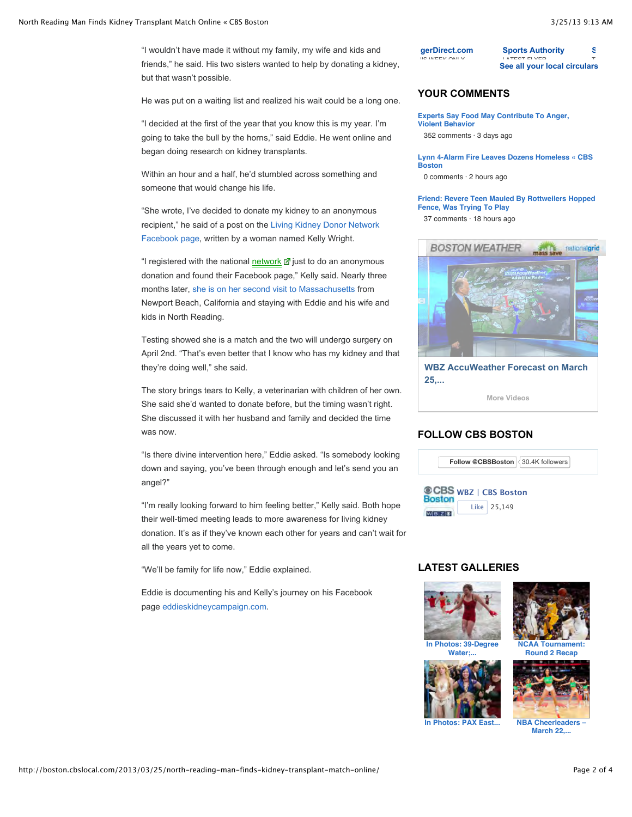"I wouldn't have made it without my family, my wife and kids and friends," he said. His two sisters wanted to help by donating a kidney, but that wasn't possible.

He was put on a waiting list and realized his wait could be a long one.

"I decided at the first of the year that you know this is my year. I'm going to take the bull by the horns," said Eddie. He went online and began doing research on kidney transplants.

Within an hour and a half, he'd stumbled across something and someone that would change his life.

"She wrote, I've decided to donate my kidney to an anonymous [recipient," he said of a post on the Living Kidney Donor Network](https://www.facebook.com/LivingKidneyDonorsNetwork) Facebook page, written by a woman named Kelly Wright.

"I registered with the national [network](http://boston.cbslocal.com/2013/03/25/north-reading-man-finds-kidney-transplant-match-online/#) d just to do an anonymous donation and found their Facebook page," Kelly said. Nearly three months later, [she is on her second visit to Massachusetts](http://boston.cbslocal.com/2013/03/24/north-reading-man-finds-kidney-transplant-match-through-social-media/) from Newport Beach, California and staying with Eddie and his wife and kids in North Reading.

Testing showed she is a match and the two will undergo surgery on April 2nd. "That's even better that I know who has my kidney and that they're doing well," she said.

The story brings tears to Kelly, a veterinarian with children of her own. She said she'd wanted to donate before, but the timing wasn't right. She discussed it with her husband and family and decided the time was now.

"Is there divine intervention here," Eddie asked. "Is somebody looking down and saying, you've been through enough and let's send you an angel?"

"I'm really looking forward to him feeling better," Kelly said. Both hope their well-timed meeting leads to more awareness for living kidney donation. It's as if they've known each other for years and can't wait for all the years yet to come.

"We'll be family for life now," Eddie explained.

Eddie is documenting his and Kelly's journey on his Facebook page [eddieskidneycampaign.com](https://www.facebook.com/eddieskidneykampaign).

## **[Sports Authority](http://circulars.cbslocal.com/flyers/sportsauthority-magalog?p=cbsboston&auto_locate=true&locale=en&utm_source=fm&utm_medium=fm_185&utm_term=f_text&utm_content=ft_372&utm_campaign=wishabi_1_0)**

[LATEST FLYER](http://circulars.cbslocal.com/flyers/sportsauthority-magalog?p=cbsboston&auto_locate=true&locale=en&utm_source=fm&utm_medium=fm_185&utm_term=f_subtext&utm_content=ft_372&utm_campaign=wishabi_1_0) **[See all your local circulars](http://circulars.cbslocal.com/?p=cbsboston&locale=en&utm_source=fm&utm_medium=fm_185&utm_term=more&utm_campaign=wishabi_1_0)** [T](http://circulars.cbslocal.com/flyers/sportsauthority-weekly?p=cbsboston&auto_locate=true&locale=en&utm_source=fm&utm_medium=fm_185&utm_term=f_subtext&utm_content=ft_281&utm_campaign=wishabi_1_0)HIS WEEK ONLY

## **YOUR COMMENTS**

**Ti[gerDirect.com](http://circulars.cbslocal.com/flyers/compusa-weekly?p=cbsboston&auto_locate=true&locale=en&utm_source=fm&utm_medium=fm_185&utm_term=f_text&utm_content=ft_161&utm_campaign=wishabi_1_0) THE WEEK ONLY** 

**[Experts Say Food May Contribute To Anger,](http://boston.cbslocal.com/2013/03/15/experts-say-food-may-contribute-to-anger-violent-behavior/) Violent Behavior** 352 comments · 3 days ago

**[Lynn 4-Alarm Fire Leaves Dozens Homeless « CBS](http://boston.cbslocal.com/2013/03/25/lynn-4-alarm-fire-leaves-dozens-homeless/) Boston**

0 comments · 2 hours ago

#### **[Friend: Revere Teen Mauled By Rottweilers Hopped](http://boston.cbslocal.com/2013/03/22/friend-revere-teen-mauled-by-rottweilers-hopped-fence-was-trying-to-play/) Fence, Was Trying To Play**

37 comments · 18 hours ago



**[WBZ AccuWeather Forecast on March](http://boston.cbslocal.com/video/8701486-wbz-accuweather-forecast-on-march-25-2013/) 25,...**

**[More Videos](http://boston.cbslocal.com/video/)**

#### **FOLLOW CBS BOSTON**



## **LATEST GALLERIES**





**[NCAA Tournament:](http://boston.cbslocal.com/photo-galleries/2013/03/22/ncaa-tournament-round-2-recap/) Round 2 Recap**





**[In Photos: PAX East...](http://boston.cbslocal.com/photo-galleries/2013/03/22/in-photos-pax-east-conference-2013-in-boston/) [NBA Cheerleaders –](http://boston.cbslocal.com/photo-galleries/2013/03/22/nba-cheerleaders-march-22-2013/) March 22,...**

**[S](http://circulars.cbslocal.com/flyers/sportsauthority-weekly?p=cbsboston&auto_locate=true&locale=en&utm_source=fm&utm_medium=fm_185&utm_term=f_text&utm_content=ft_281&utm_campaign=wishabi_1_0)ports Authority**

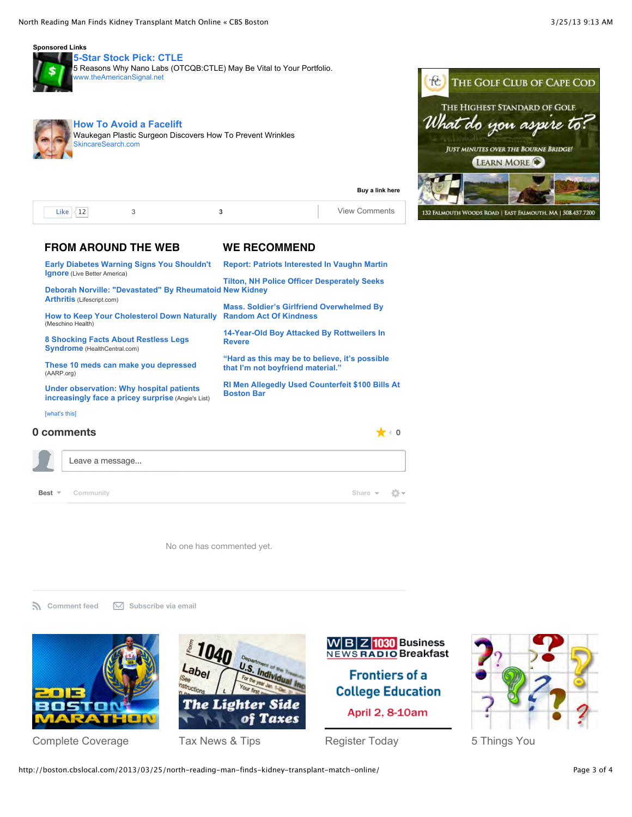

#### **[5-Star Stock Pick: CTLE](javascript:void(0);)**

[5 Reasons Why Nano Labs \(OTCQB:CTLE\) May Be Vital to Your Portfolio.](javascript:void(0);) [www.theAmericanSignal.net](javascript:void(0);)



**[How To Avoid a Facelift](javascript:void(0);)** [Waukegan Plastic Surgeon Discovers How To Prevent Wrinkles](javascript:void(0);) ncareSearch.com



| i ilzz<br>--<br>--- |  | - 171<br> |
|---------------------|--|-----------|

#### **FROM AROUND THE WEB WE RECOMMEND**

| <b>Early Diabetes Warning Signs You Shouldn't</b><br><b>Ignore</b> (Live Better America)       | <b>Report: Patriots Interested In Vaughn Martin</b>                                 |
|------------------------------------------------------------------------------------------------|-------------------------------------------------------------------------------------|
| Deborah Norville: "Devastated" By Rheumatoid New Kidney                                        | <b>Tilton, NH Police Officer Desperately Seeks</b>                                  |
| <b>Arthritis (Lifescript.com)</b>                                                              | <b>Mass. Soldier's Girlfriend Overwhelmed By</b>                                    |
| <b>How to Keep Your Cholesterol Down Naturally</b><br>(Meschino Health)                        | <b>Random Act Of Kindness</b>                                                       |
| 8 Shocking Facts About Restless Legs<br><b>Syndrome</b> (HealthCentral.com)                    | 14-Year-Old Boy Attacked By Rottweilers In<br><b>Revere</b>                         |
| These 10 meds can make you depressed<br>(AARP.org)                                             | "Hard as this may be to believe, it's possible<br>that I'm not boyfriend material." |
| Under observation: Why hospital patients<br>increasingly face a pricey surprise (Angie's List) | RI Men Allegedly Used Counterfeit \$100 Bills At<br><b>Boston Bar</b>               |
| [what's this]                                                                                  |                                                                                     |
| 0 comments                                                                                     |                                                                                     |



No one has commented yet.

**N** [Comment feed](http://cbsboston.disqus.com/north_reading_man_finds_kidney_transplant_match_online/latest.rss)  $\boxtimes$  [Subscribe via email](http://disqus.com/)



[Complete Coverage](http://boston.cbslocal.com/content-vertical/boston-marathon/) [Tax News & Tips](http://boston.cbslocal.com/content-vertical/lighter-side-of-taxes) [Register Today](http://boston.cbslocal.com/wbz-business-breakfast-registration-frontiers-of-higher-education/) [5 Things You](http://boston.cbslocal.com/tag/5-things-you-didnt-know)

The Ligt



**[Buy a link here](https://cbslocal.sl.advertising.com/admin/advertisers/indexPl.jsp)** 



abel